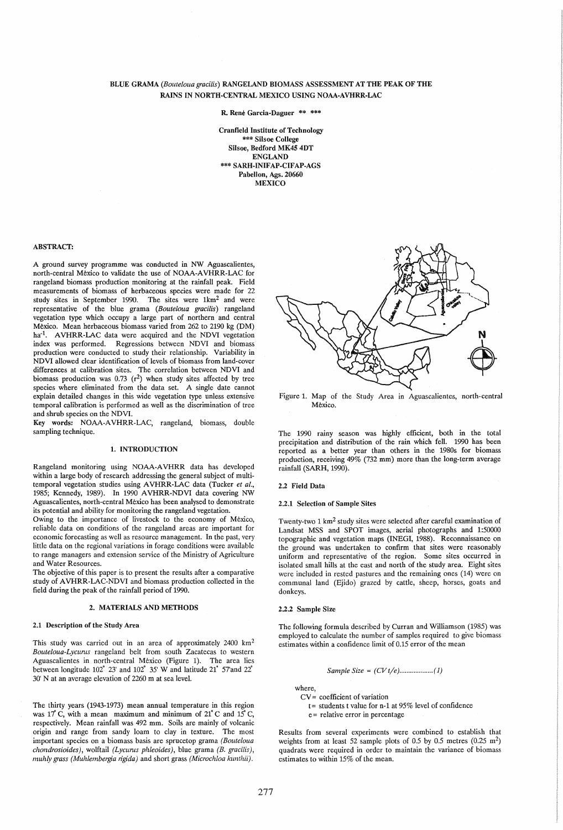## BLUE GRAMA *(Bouteloua gracilis)* RANGELAND BIOMASS ASSESSMENT AT THE PEAK OF THE RAINS IN NORTH·CENTRAL MEXICO USING NOAA-AVHRR-LAC

R. Rene Garcia-Daguer \*\* \*\*\*

Cranfield Institute of Technology \*\*\* Silsoe College Silsoe, Bedford MK45 4DT ENGLAND \*\*\* SARH·INIFAP-CIFAP·AGS Pabellon, Ags. 20660 **MEXICO** 

## ABSTRACT:

A ground survey programme was conducted in NW Aguascalientes, north-central Mexico to validate the use of NOAA-AVHRR-LAC for rangeland biomass production monitoring at the rainfall peak. Field measurements of biomass of herbaceous species were made for 22 study sites in September 1990. The sites were 1km2 and were representative of the blue grama *(Bouteloua gracilis)* rangeland vegetation type which occupy a large part of northern and central Mexico. Mean herbaceous biomass varied from 262 to 2190 kg (DM) ha<sup>-1</sup>. AVHRR-LAC data were acquired and the NDVI vegetation index was performed. Regressions between NDVI and biomass production were conducted to study their relationship. Variability in NDVI allowed clear identification of levels of biomass from land-cover differences at calibration sites. The correlation between NDVI and biomass production was  $0.73$  ( $r^2$ ) when study sites affected by tree species where eliminated from the data set. A single date cannot explain detailed changes in this wide vegetation type unless extensive temporal calibration is performed as well as the discrimination of tree and shrub species on the NDVI.

Key words: NOAA-A VHRR-LAC, rangeland, biomass, double sampling technique.

## 1. INTRODUCTION

Rangeland monitoring using NOAA-A VHRR data has developed within a large body of research addressing the general subject of multitemporal vegetation studies using A VHRR-LAC data (Tucker *et al.,*  1985; Kennedy, 1989). In 1990 A VHRR-NDVI data covering NW Aguascalientes, north-central Mexico has been analysed to demonstrate its potential and ability for monitoring the rangeland vegetation.

Owing to the importance of livestock to the economy of Mexico, reliable data on conditions of the rangeland areas are important for economic forecasting as well as resource management. In the past, very little data on the regional variations in forage conditions were available to range managers and extension service of the Ministry of Agriculture and Water Resources.

The objective of this paper is to present the results after a comparative study of AVHRR-LAC-NDVI and biomass production collected in the field during the peak of the rainfall period of 1990.

#### 2. MATERIALS AND METHODS

## 2.1 Description of the Study Area

This study was carried out in an area of approximately 2400 km2 *Bouteloua-Lycunts* rangeland belt from south Zacatecas to western Aguascalientes in north-central Mexico (Figure 1). The area lies between longitude 102° 23' and 102° 35' W and latitude 21° 57'and 22° 30' N at an average elevation of 2260 m at sea level.

The thirty years (1943-1973) mean annual temperature in this region was  $17^{\circ}$  C, with a mean maximum and minimum of  $21^{\circ}$ C and  $15^{\circ}$  C, respectively. Mean rainfall was 492 mm. Soils are mainly of volcanic origin and range from sandy loam to clay in texture. The most important species on a biomass basis are sprucetop grama *(Bouteloua chondrosioides*), wolftail *(Lycurus phleoides)*, blue grama *(B. gracilis)*, *muhly grass (Muhlembergia rigida)* and short grass *(Microchloa kunthii).* 



Figure 1. Map of the Study Area in Aguascalientes, north-central Mexico.

The 1990 rainy season was highly efficient, both in the total precipitation and distribution of the rain which fell. 1990 has been reported as a better year than others in the 1980s for biomass production, receiving 49% (732 mm) more than the long-term average rainfall (SARH, 1990).

#### 2.2 Field Data

#### 2.2.1 Selection of Sample Sites

Twenty-two 1 km2 study sites were selected after careful examination of Landsat MSS and SPOT images, aerial photographs and 1:50000 topographic and vegetation maps (INEGI, 1988). Reconnaissance on the ground was undertaken to confirm that sites were reasonably uniform and representative of the region. Some sites occurred in isolated small hills at the east and north of the study area. Eight sites were included in rested pastures and the remaining ones (14) were on communal land (Ejido) grazed by cattle, sheep, horses, goats and donkeys.

#### 2.2.2 Sample Size

The following formula described by Curran and Williamson (1985) was employed to calculate the number of samples required to give biomass estimates within a confidence limit of 0.15 error of the mean

Sample Size = 
$$
(CVt/e)
$$
............(1)

where,

- CV = coefficient of variation
- t= students t value for n-1 at 95% level of confidence e = relative error in percentage

Results from several experiments were combined to establish that weights from at least 52 sample plots of 0.5 by 0.5 metres  $(0.25 \text{ m}^2)$ quadrats were required in order to maintain the variance of biomass estimates to within 15% of the mean.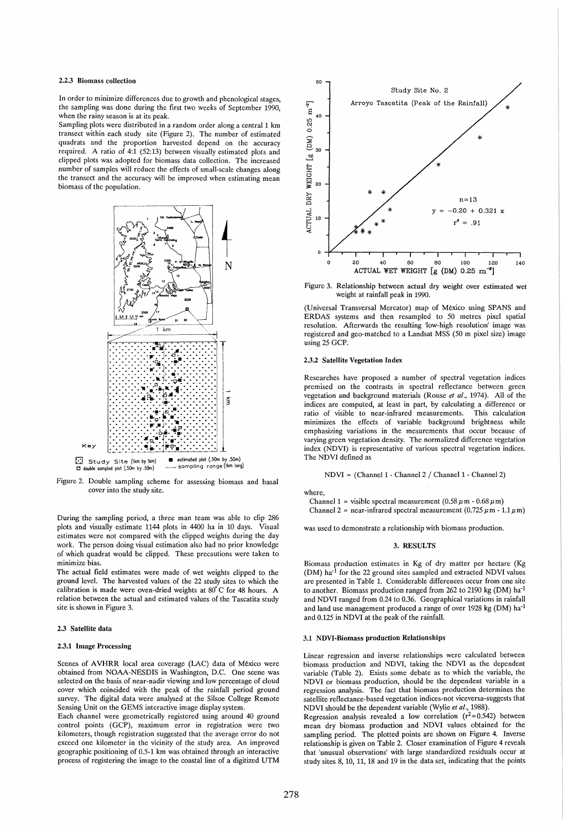### 2.2.3 Biomass collection

In order to minimize differences due to growth and phenological stages. the sampling was done during the first two weeks of September 1990. when the rainy season is at its peak.

Sampling plots were distributed in a random order along a central 1 km transect within each study site (Figure 2). The number of estimated quadrats and the proportion harvested depend on the accuracy required. A ratio of 4.1 (52:13) between visually estimated plots and clipped plots was adopted for biomass data collection. The increased number of samples will reduce the effects of small-scale changes along the transect and the accuracy will be improved when estimating mean biomass of the population.



Figure 2. Double sampling scheme for assessing biomass and basal cover into the study site.

During the sampling period, a three man team was able to clip 286 plots and visually estimate 1144 plots in 4400 ha in 10 days. Visual estimates were not compared with the clipped weights during the day work. The person doing visual estimation also had no prior knowledge of which quadrat would be clipped. These precautions were taken to minimize bias.

The actual field estimates were made of wet weights clipped to the ground level. The harvested values of the 22 study sites to which the calibration is made were oven-dried weights at 80°C for 48 hours. A relation between the actual and estimated values of the Tascatita study site is shown in Figure 3.

#### 2.3 Satellite data

#### 2.3.1 Image Processing

Scenes of AVHRR local area coverage (LAC) data of México were obtained from NOAA-NESDIS in Washington, D.C. One scene was selected on the basis of near-nadir viewing and low percentage of cloud cover which coincided with the peak of the rainfall period ground survey. The digital data were analysed at the Silsoe College Remote Sensing Unit on the GEMS interactive image display system.

Each channel were geometrically registered using around 40 ground control points (GCP), maximum error in registration were two kilometers, though registration suggested that the average error do not exceed one kilometer in the vicinity of the study area. An improved geographic positioning of 0.5-1 km was obtained through an interactive process of registering the image to the coastal line of a digitized UTM



Figure 3. Relationship between actual dry weight over estimated wet weight at rainfall peak in 1990.

(Universal Transversal Mercator) map of Mexico using SPANS and ERDAS systems and then resampled to 50 metres pixel spatial resolution. Afterwards the resulting 'low-high resolution' image was registered and geo-matched to a Landsat MSS (50 m pixel size) image using 25 GCP.

## 2.3.2 Satellite Vegetation Index

Researches have proposed a number of spectral vegetation indices premised on the contrasts in spectral reflectance between green vegetation and background materials (Rouse et al., 1974). All of the indices are computed, at least in part, by calculating a difference or ratio of visible to near-infrared measurements. This calculation minimizes the effects of variable background brightness while emphasizing variations in the mesurements that occur because of varying green vegetation density. The normalized difference vegetation index (NDVI) is representative of various spectral vegetation indices. The NDVI defined as

NDVI = (Channel 1 - Channel 2 / Channel 1 - Channel 2)

where,

Channel 1 = visible spectral measurement  $(0.58 \text{ µm} - 0.68 \text{ µm})$ 

Channel 2 = near-infrared spectral measurement  $(0.725 \,\mu \text{m} - 1.1 \,\mu \text{m})$ 

was used to demonstrate a relationship with biomass production.

#### 3. RESULTS

Biomass production estimates in Kg of dry matter per hectare (Kg (DM) ha<sup>-1</sup> for the 22 ground sites sampled and extracted NDVI values are presented in Table 1. Considerable differences occur from one site to another. Biomass production ranged from 262 to 2190 kg (DM) ha<sup>-1</sup> and NDVI ranged from 0.24 to 0.36. Geographical variations in rainfall and land use management produced a range of over 1928 kg (DM) ha<sup>-1</sup> and 0.125 in NDVI at the peak of the rainfall.

#### 3.1 NDVI-Biomass production Relationships

Linear regression and inverse relationships were calculated between biomass production and NDVI, taking the NDVI as the dependent variable (Table 2). Exists some debate as to which the variable, the NDVI or biomass production, should be the dependent variable in a regression analysis. The fact that biomass production determines the satellite reflectance-based vegetation indices-not viceversa-suggests that NDVI should be the dependent variable (Wylie et al., 1988).

Regression analysis revealed a low correlation  $(r^2=0.542)$  between mean dry biomass production and NDVI values obtained for the sampling period. The plotted points are shown on Figure 4. Inverse relationship is given on Table 2. Closer examination of Figure 4 reveals that 'unusual observations' with large standardized residuals occur at study sites 8, 10, 11, 18 and 19 in the data set, indicating that the points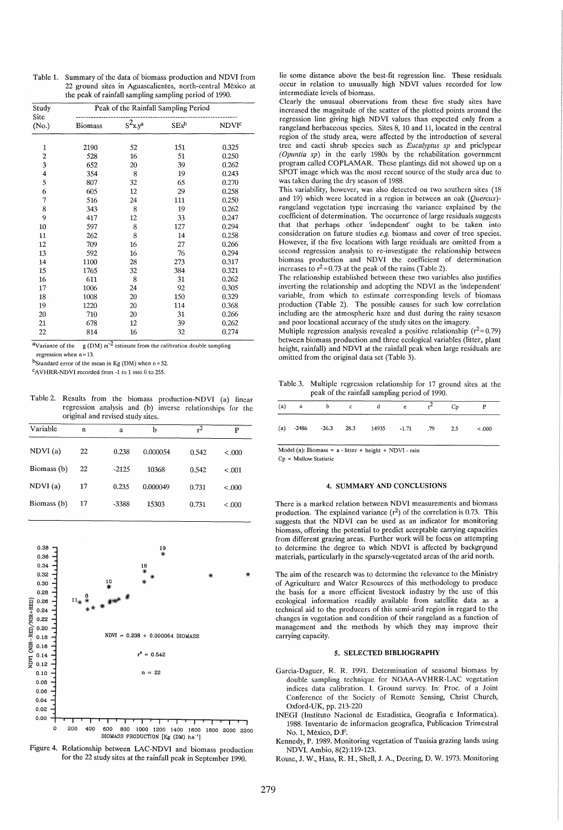Table 1. Summary of the data of biomass production and NDVI from 22 ground sites in Aguascalientes, north-central Mexico at the peak of rainfall sampling sampling period of 1990.

| Study                   | Peak of the Rainfall Sampling Period |                        |         |                         |  |  |  |
|-------------------------|--------------------------------------|------------------------|---------|-------------------------|--|--|--|
| Site<br>(No.)           | <b>Biomass</b>                       | $s^2$ x.y <sup>a</sup> | $SEx^b$ | <b>NDVI<sup>c</sup></b> |  |  |  |
|                         |                                      |                        |         |                         |  |  |  |
| $\mathbf{1}$            | 2190                                 | 52                     | 151     | 0.325                   |  |  |  |
| $\overline{\mathbf{c}}$ | 528                                  | 16                     | 51      | 0.250                   |  |  |  |
| 3                       | 652                                  | 20                     | 39      | 0.262                   |  |  |  |
| $\overline{\mathbf{4}}$ | 354                                  | 8                      | 19      | 0.243                   |  |  |  |
| 5                       | 807                                  | 32                     | 65      | 0.270                   |  |  |  |
| 6                       | 605                                  | 12                     | 29      | 0.258                   |  |  |  |
| 7                       | 516                                  | 24                     | 111     | 0.250                   |  |  |  |
| 8                       | 343                                  | 8                      | 19      | 0.262                   |  |  |  |
| 9                       | 417                                  | 12                     | 33      | 0.247                   |  |  |  |
| 10                      | 597                                  | 8                      | 127     | 0.294                   |  |  |  |
| 11                      | 262                                  | 8                      | 14      | 0.258                   |  |  |  |
| 12                      | 709                                  | 16                     | 27      | 0.266                   |  |  |  |
| 13                      | 592                                  | 16                     | 76      | 0.294                   |  |  |  |
| 14                      | 1100                                 | 28                     | 273     | 0.317                   |  |  |  |
| 15                      | 1765                                 | 32                     | 384     | 0.321                   |  |  |  |
| 16                      | 611                                  | 8                      | 31      | 0.262                   |  |  |  |
| 17                      | 1006                                 | 24                     | 92      | 0.305                   |  |  |  |
| 18                      | 1008                                 | 20                     | 150     | 0.329                   |  |  |  |
| 19                      | 1220                                 | 20                     | 114     | 0.368                   |  |  |  |
| 20                      | 710                                  | 20                     | 31      | 0.266                   |  |  |  |
| 21                      | 678                                  | 12                     | 39      | 0.262                   |  |  |  |
| 22                      | 814                                  | 16                     | 32      | 0.274                   |  |  |  |
|                         |                                      |                        |         |                         |  |  |  |

 $a$ Variance of the g (DM) m<sup>-2</sup> estimate from the calibration double sampling regression when  $n = 13$ .

bStandard error of the mean in Kg (DM) when  $n = 52$ .

cAVHRR-NDVI recorded from -1 to 1 into 0 to 255.

| Table 2. Results from the biomass production-NDVI (a) linear |  |  |
|--------------------------------------------------------------|--|--|
| regression analysis and (b) inverse relationships for the    |  |  |
| original and revised study sites.                            |  |  |

| Variable    | $\mathbf n$ | a       | b        | $r^2$ | P      |
|-------------|-------------|---------|----------|-------|--------|
| NDVI(a)     | 22          | 0.238   | 0.000054 | 0.542 | < 0.00 |
| Biomass (b) | 22          | $-2125$ | 10368    | 0.542 | < .001 |
| NDVI(a)     | 17          | 0.235   | 0.000049 | 0.731 | < 000  |
| Biomass (b) | 17          | -3388   | 15303    | 0.731 | < 000  |



Figure 4. Relationship between LAC-NDVI and biomass production for the 22 study sites at the rainfall peak in September 1990.

lie some distance above the best-fit regression line. These residuals occur in relation to unusually high NDVI values recorded for low intermediate levels of biomass.

Clearly the unusual observations from these five study sites have increased the magnitude of the scatter of the plotted points around the regression line giving high NDVI values than expected only from a rangeland herbaceous species. Sites 8, 10 and 11, located in the central region of the study area, were affected by the introduction of several tree and cacti shrub species such as *Eucalyptus sp* and priclypear *(Opzmtia sp)* in the early 1980s by the rehabilitation government program called COPLAMAR. These plantings did not showed up on a SPOT image which was the most recent source of the study area due to was taken during the dry season of 1988.

This variability, however, was also detected on two southern sites (18 and 19) which were located in a region in between an oak *(Ouercus)*rangeland vegetation type increasing the variance explained by the coefficient of determination. The occurrence of large residuals suggests that that perhaps other 'independent' ought to be taken into consideration on future studies e.g. biomass and cover of tree species. However, if the five locations with large residuals are omitted from a second regression analysis to re-investigate the relationship between biomass production and NDVI the coefficient of determination increases to  $r^2$ =0.73 at the peak of the rains (Table 2).

The relationship established between these two variables also justifies inverting the relationship and adopting the NDVI as the 'independent' variable, from which to estimate corresponding levels of biomass production (Table 2). The possible causes for such low correlation including are the atmospheric haze and dust during the rainy sesason and poor locational accuracy of the study sites on the imagery.

Multiple regression analysis revealed a positive relationship ( $r^2$ =0.79) between biomass production and three ecological variables (litter, plant height, rainfall) and NDVI at the rainfall peak when large residuals are omitted from the original data set (Table 3).

Table 3. Multiple regression relationship for 17 ground sites at the peak of the rainfall sampling period of 1990.

|  |  | $(a)$ a b c d e                                    |  | Cp |         |
|--|--|----------------------------------------------------|--|----|---------|
|  |  | (a) $-2486$ $-26.3$ $28.3$ $14935$ $-1.71$ .79 2.5 |  |    | < 0.000 |

Model (a): Biomass =  $a$  - litter + height + NDVI - rain

Cp = Mallow Statistic

## 4. SUMMARY AND CONCLUSIONS

There is a marked relation between NDVI measurements and biomass production. The explained variance  $(r^2)$  of the correlation is 0.73. This suggests that the NDVI can be used as an indicator for monitoring biomass, offering the potential to predict acceptable carrying capacities from different grazing areas. Further work will be focus on attempting to determine the degree to which NDVI is affected by background materials, particularly in the sparsely-vegetated areas of the arid north.

The aim of the research was to determine the relevance to the Ministry of Agriculture and Water Resources of this methodology to produce the basis for a more efficient livestock industry by the use of this ecological information readily available from satellite data as a technical aid to the producers of this semi-arid region in regard to the changes in vegetation and condition of their rangeland as a function of management and the methods by which they may improve their carrying capacity.

## 5. SELECTED BIBLIOGRAPHY

- Garcia-Daguer, R. R. 1991. Determination of seasonal biomass by double sampling technique for NOAA-A VHRR-LAC vegetation indices data calibration. I. Ground survey. In: Proc. of a Joint Conference of the Society of Remote Sensing, Christ Church, Oxford-UK, pp. 213-220
- INEGI (Instituto Nacional de Estadistica, Geografia e Informatica). 1988. Inventario de informacion geografica, Publicacion Trimestral No.1, Mexico, D.F.
- Kennedy, P. 1989. Monitoring vegetation of Tunisia grazing lands using NDVI. Ambio, 8(2):119-123.

Rouse, J. W., Hass, R. H., Shell, J. A., Deering, D. W. 1973. Monitoring